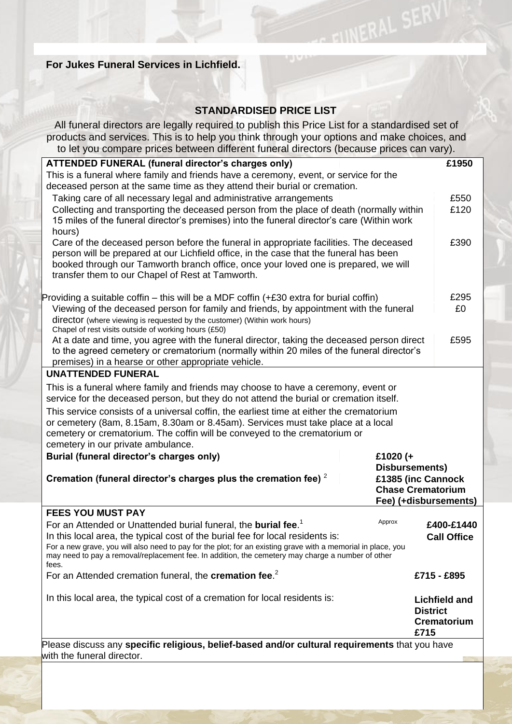## **For Jukes Funeral Services in Lichfield.**

## **STANDARDISED PRICE LIST**

NERAL SERY

All funeral directors are legally required to publish this Price List for a standardised set of products and services. This is to help you think through your options and make choices, and to let you compare prices between different funeral directors (because prices can vary).

| io ioi you compare phoes between unicrent runcial uncetors (because phoes can vary).                         |                       |                      |  |
|--------------------------------------------------------------------------------------------------------------|-----------------------|----------------------|--|
| <b>ATTENDED FUNERAL (funeral director's charges only)</b>                                                    |                       | £1950                |  |
| This is a funeral where family and friends have a ceremony, event, or service for the                        |                       |                      |  |
| deceased person at the same time as they attend their burial or cremation.                                   |                       |                      |  |
| Taking care of all necessary legal and administrative arrangements                                           |                       | £550                 |  |
| Collecting and transporting the deceased person from the place of death (normally within                     |                       | £120                 |  |
| 15 miles of the funeral director's premises) into the funeral director's care (Within work                   |                       |                      |  |
| hours)                                                                                                       |                       |                      |  |
| Care of the deceased person before the funeral in appropriate facilities. The deceased                       |                       | £390                 |  |
| person will be prepared at our Lichfield office, in the case that the funeral has been                       |                       |                      |  |
| booked through our Tamworth branch office, once your loved one is prepared, we will                          |                       |                      |  |
| transfer them to our Chapel of Rest at Tamworth.                                                             |                       |                      |  |
| Providing a suitable coffin – this will be a MDF coffin $(+£30$ extra for burial coffin)                     |                       | £295                 |  |
| Viewing of the deceased person for family and friends, by appointment with the funeral                       |                       |                      |  |
| director (where viewing is requested by the customer) (Within work hours)                                    |                       |                      |  |
| Chapel of rest visits outside of working hours (£50)                                                         |                       |                      |  |
| At a date and time, you agree with the funeral director, taking the deceased person direct                   |                       | £595                 |  |
| to the agreed cemetery or crematorium (normally within 20 miles of the funeral director's                    |                       |                      |  |
| premises) in a hearse or other appropriate vehicle.                                                          |                       |                      |  |
| <b>UNATTENDED FUNERAL</b>                                                                                    |                       |                      |  |
| This is a funeral where family and friends may choose to have a ceremony, event or                           |                       |                      |  |
| service for the deceased person, but they do not attend the burial or cremation itself.                      |                       |                      |  |
| This service consists of a universal coffin, the earliest time at either the crematorium                     |                       |                      |  |
| or cemetery (8am, 8.15am, 8.30am or 8.45am). Services must take place at a local                             |                       |                      |  |
| cemetery or crematorium. The coffin will be conveyed to the crematorium or                                   |                       |                      |  |
| cemetery in our private ambulance.                                                                           |                       |                      |  |
| Burial (funeral director's charges only)<br>£1020 $(+$                                                       |                       |                      |  |
| Disbursements)                                                                                               |                       |                      |  |
| Cremation (funeral director's charges plus the cremation fee) $2$<br>£1385 (inc Cannock                      |                       |                      |  |
| <b>Chase Crematorium</b>                                                                                     |                       |                      |  |
|                                                                                                              | Fee) (+disbursements) |                      |  |
| <b>FEES YOU MUST PAY</b>                                                                                     |                       |                      |  |
| For an Attended or Unattended burial funeral, the burial fee. <sup>1</sup>                                   | Approx                | £400-£1440           |  |
| In this local area, the typical cost of the burial fee for local residents is:                               |                       | <b>Call Office</b>   |  |
| For a new grave, you will also need to pay for the plot; for an existing grave with a memorial in place, you |                       |                      |  |
| may need to pay a removal/replacement fee. In addition, the cemetery may charge a number of other<br>fees.   |                       |                      |  |
| For an Attended cremation funeral, the <b>cremation fee.</b> <sup>2</sup>                                    |                       | £715 - £895          |  |
| In this local area, the typical cost of a cremation for local residents is:                                  |                       | <b>Lichfield and</b> |  |
|                                                                                                              | <b>District</b>       |                      |  |
|                                                                                                              |                       | Crematorium          |  |
|                                                                                                              | £715                  |                      |  |
| Please discuss any specific religious, belief-based and/or cultural requirements that you have               |                       |                      |  |

with the funeral director.